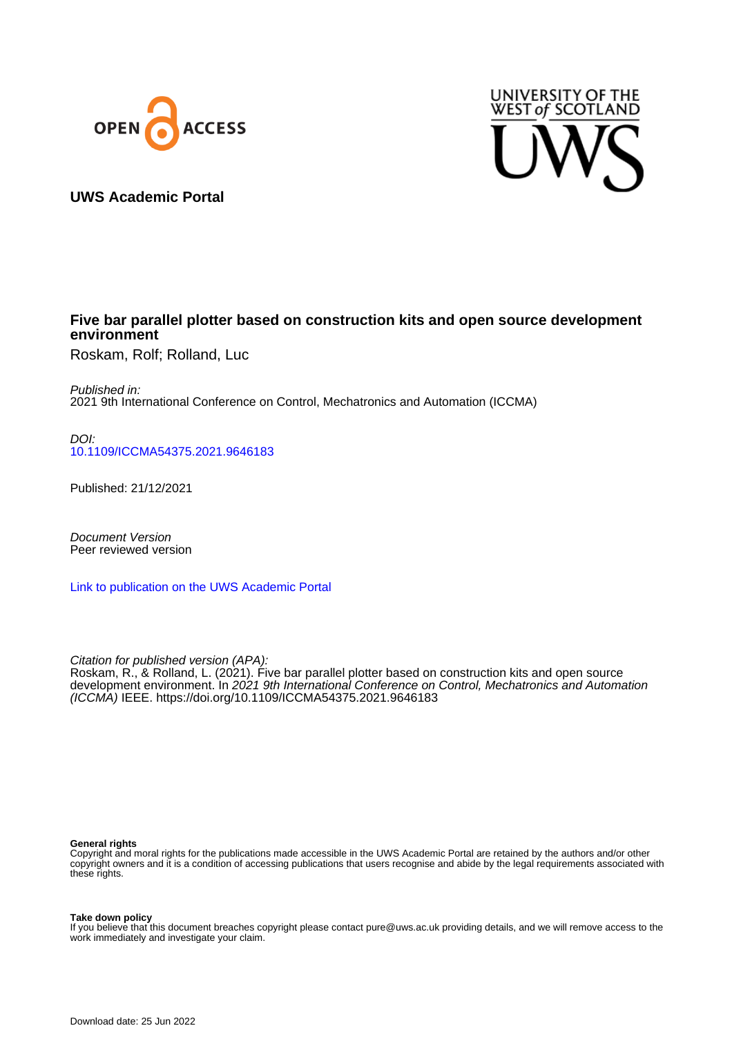



## **UWS Academic Portal**

### **Five bar parallel plotter based on construction kits and open source development environment**

Roskam, Rolf; Rolland, Luc

Published in: 2021 9th International Conference on Control, Mechatronics and Automation (ICCMA)

DOI: [10.1109/ICCMA54375.2021.9646183](https://doi.org/10.1109/ICCMA54375.2021.9646183)

Published: 21/12/2021

Document Version Peer reviewed version

[Link to publication on the UWS Academic Portal](https://uws.pure.elsevier.com/en/publications/7d1801c5-8964-44a9-aefa-34d141b76296)

Citation for published version (APA): Roskam, R., & Rolland, L. (2021). Five bar parallel plotter based on construction kits and open source development environment. In 2021 9th International Conference on Control, Mechatronics and Automation (ICCMA) IEEE.<https://doi.org/10.1109/ICCMA54375.2021.9646183>

#### **General rights**

Copyright and moral rights for the publications made accessible in the UWS Academic Portal are retained by the authors and/or other copyright owners and it is a condition of accessing publications that users recognise and abide by the legal requirements associated with these rights.

**Take down policy**

If you believe that this document breaches copyright please contact pure@uws.ac.uk providing details, and we will remove access to the work immediately and investigate your claim.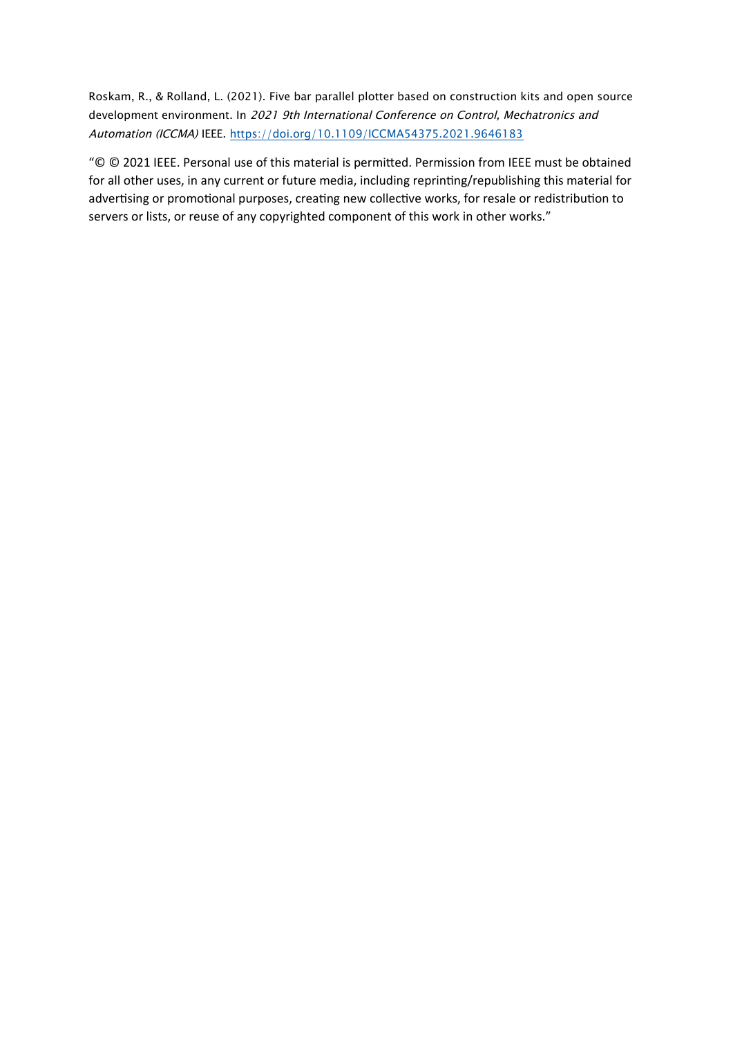Roskam, R., & Rolland, L. (2021). Five bar parallel plotter based on construction kits and open source development environment. In 2021 9th International Conference on Control, Mechatronics and Automation (ICCMA) IEEE. https://doi.org/10.1109/ICCMA54375.2021.9646183

"© © 2021 IEEE. Personal use of this material is permitted. Permission from IEEE must be obtained for all other uses, in any current or future media, including reprinting/republishing this material for advertising or promotional purposes, creating new collective works, for resale or redistribution to servers or lists, or reuse of any copyrighted component of this work in other works."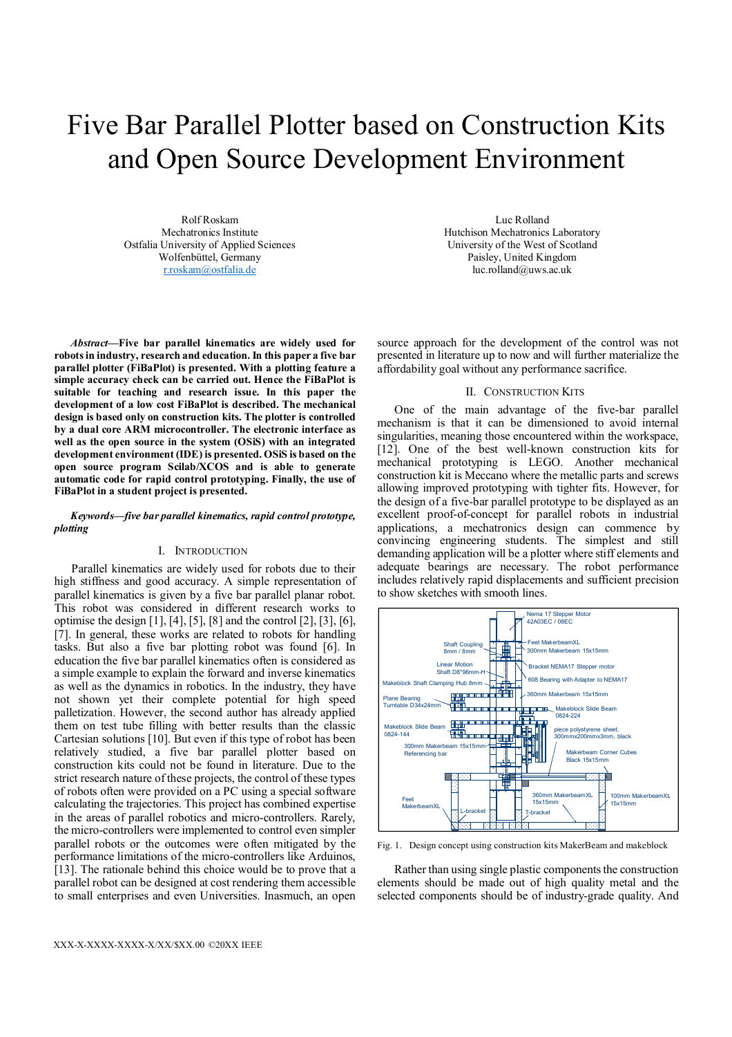# Five Bar Parallel Plotter based on Construction Kits and Open Source Development Environment

Rolf Roskam Mechatronics Institute Ostfalia University of Applied Sciences Wolfenbüttel, Germany r.roskam@ostfalia.de

*Abstract***—Five bar parallel kinematics are widely used for robots in industry, research and education. In this paper a five bar parallel plotter (FiBaPlot) is presented. With a plotting feature a simple accuracy check can be carried out. Hence the FiBaPlot is suitable for teaching and research issue. In this paper the development of a low cost FiBaPlot is described. The mechanical design is based only on construction kits. The plotter is controlled by a dual core ARM microcontroller. The electronic interface as well as the open source in the system (OSiS) with an integrated development environment (IDE) is presented. OSiS is based on the open source program Scilab/XCOS and is able to generate automatic code for rapid control prototyping. Finally, the use of FiBaPlot in a student project is presented.** 

#### *Keywords—five bar parallel kinematics, rapid control prototype, plotting*

#### I. INTRODUCTION

Parallel kinematics are widely used for robots due to their high stiffness and good accuracy. A simple representation of parallel kinematics is given by a five bar parallel planar robot. This robot was considered in different research works to optimise the design [1], [4], [5], [8] and the control [2], [3], [6], [7]. In general, these works are related to robots for handling tasks. But also a five bar plotting robot was found [6]. In education the five bar parallel kinematics often is considered as a simple example to explain the forward and inverse kinematics as well as the dynamics in robotics. In the industry, they have not shown yet their complete potential for high speed palletization. However, the second author has already applied them on test tube filling with better results than the classic Cartesian solutions [10]. But even if this type of robot has been relatively studied, a five bar parallel plotter based on construction kits could not be found in literature. Due to the strict research nature of these projects, the control of these types of robots often were provided on a PC using a special software calculating the trajectories. This project has combined expertise in the areas of parallel robotics and micro-controllers. Rarely, the micro-controllers were implemented to control even simpler parallel robots or the outcomes were often mitigated by the performance limitations of the micro-controllers like Arduinos, [13]. The rationale behind this choice would be to prove that a parallel robot can be designed at cost rendering them accessible to small enterprises and even Universities. Inasmuch, an open

Luc Rolland Hutchison Mechatronics Laboratory University of the West of Scotland Paisley, United Kingdom luc.rolland@uws.ac.uk

source approach for the development of the control was not presented in literature up to now and will further materialize the affordability goal without any performance sacrifice.

#### II. CONSTRUCTION KITS

One of the main advantage of the five-bar parallel mechanism is that it can be dimensioned to avoid internal singularities, meaning those encountered within the workspace, [12]. One of the best well-known construction kits for mechanical prototyping is LEGO. Another mechanical construction kit is Meccano where the metallic parts and screws allowing improved prototyping with tighter fits. However, for the design of a five-bar parallel prototype to be displayed as an excellent proof-of-concept for parallel robots in industrial applications, a mechatronics design can commence by convincing engineering students. The simplest and still demanding application will be a plotter where stiff elements and adequate bearings are necessary. The robot performance includes relatively rapid displacements and sufficient precision to show sketches with smooth lines.



Fig. 1. Design concept using construction kits MakerBeam and makeblock

Rather than using single plastic components the construction elements should be made out of high quality metal and the selected components should be of industry-grade quality. And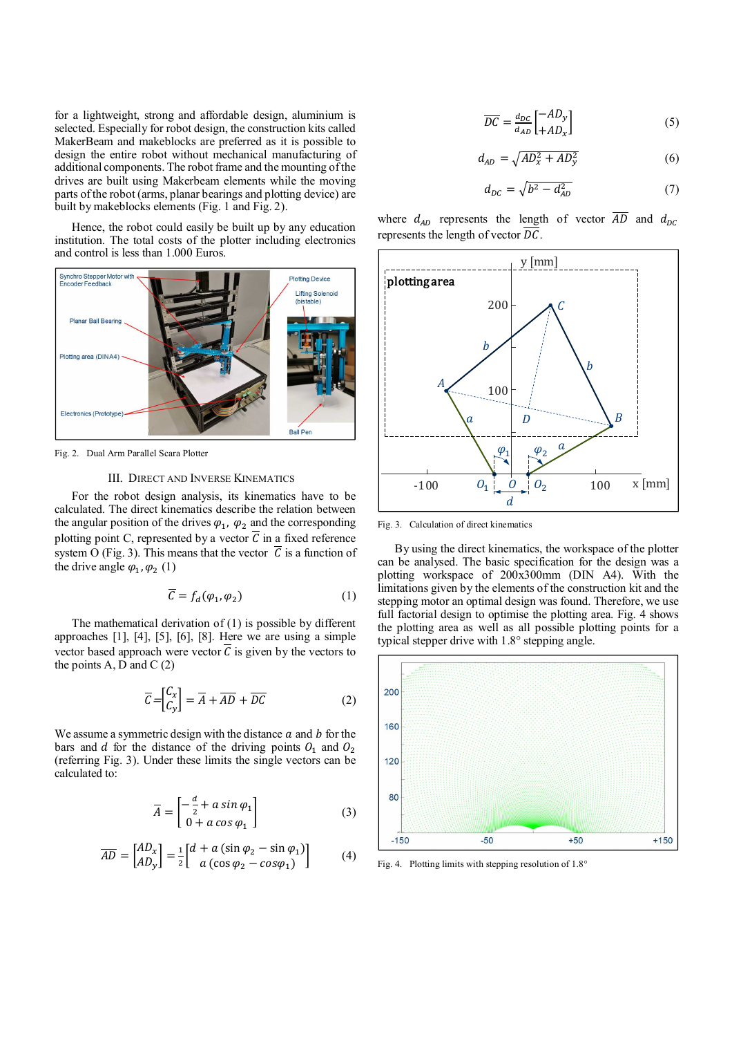for a lightweight, strong and affordable design, aluminium is selected. Especially for robot design, the construction kits called MakerBeam and makeblocks are preferred as it is possible to design the entire robot without mechanical manufacturing of additional components. The robot frame and the mounting of the drives are built using Makerbeam elements while the moving parts of the robot (arms, planar bearings and plotting device) are built by makeblocks elements (Fig. 1 and Fig. 2).

Hence, the robot could easily be built up by any education institution. The total costs of the plotter including electronics and control is less than 1.000 Euros.



Fig. 2. Dual Arm Parallel Scara Plotter

#### III. DIRECT AND INVERSE KINEMATICS

For the robot design analysis, its kinematics have to be calculated. The direct kinematics describe the relation between the angular position of the drives  $\varphi_1$ ,  $\varphi_2$  and the corresponding plotting point C, represented by a vector  $\overline{C}$  in a fixed reference system O (Fig. 3). This means that the vector  $\overline{C}$  is a function of the drive angle  $\varphi_1, \varphi_2$  (1)

$$
\overline{C} = f_d(\varphi_1, \varphi_2) \tag{1}
$$

The mathematical derivation of (1) is possible by different approaches [1], [4], [5], [6], [8]. Here we are using a simple vector based approach were vector  $\overline{C}$  is given by the vectors to the points A, D and C $(2)$ 

$$
\overline{C} = \begin{bmatrix} C_x \\ C_y \end{bmatrix} = \overline{A} + \overline{AD} + \overline{DC} \tag{2}
$$

We assume a symmetric design with the distance  $a$  and  $b$  for the bars and  $d$  for the distance of the driving points  $O_1$  and  $O_2$ (referring Fig. 3). Under these limits the single vectors can be calculated to:

$$
\overline{A} = \begin{bmatrix} -\frac{d}{2} + a \sin \varphi_1 \\ 0 + a \cos \varphi_1 \end{bmatrix}
$$
 (3)

$$
\overline{AD} = \begin{bmatrix} AD_x \\ AD_y \end{bmatrix} = \frac{1}{2} \begin{bmatrix} d + a(\sin \varphi_2 - \sin \varphi_1) \\ a(\cos \varphi_2 - \cos \varphi_1) \end{bmatrix}
$$
(4)

$$
\overline{DC} = \frac{d_{DC}}{d_{AD}} \begin{bmatrix} -AD_y \\ +AD_x \end{bmatrix}
$$
 (5)

$$
d_{AD} = \sqrt{AD_x^2 + AD_y^2} \tag{6}
$$

$$
d_{DC} = \sqrt{b^2 - d_{AD}^2} \tag{7}
$$

where  $d_{AD}$  represents the length of vector  $\overline{AD}$  and  $d_{DC}$ represents the length of vector  $\overline{DC}$ .



Fig. 3. Calculation of direct kinematics

By using the direct kinematics, the workspace of the plotter can be analysed. The basic specification for the design was a plotting workspace of 200x300mm (DIN A4). With the limitations given by the elements of the construction kit and the stepping motor an optimal design was found. Therefore, we use full factorial design to optimise the plotting area. Fig. 4 shows the plotting area as well as all possible plotting points for a typical stepper drive with 1.8° stepping angle.



Fig. 4. Plotting limits with stepping resolution of  $1.8^\circ$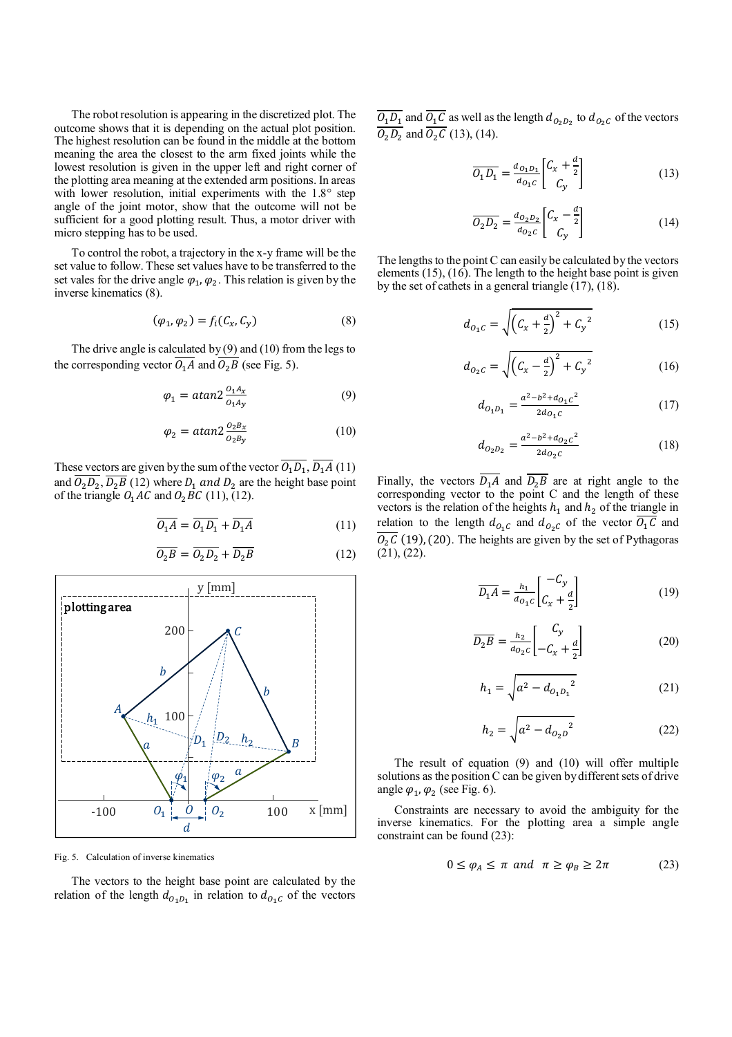The robot resolution is appearing in the discretized plot. The outcome shows that it is depending on the actual plot position. The highest resolution can be found in the middle at the bottom meaning the area the closest to the arm fixed joints while the lowest resolution is given in the upper left and right corner of the plotting area meaning at the extended arm positions. In areas with lower resolution, initial experiments with the 1.8° step angle of the joint motor, show that the outcome will not be sufficient for a good plotting result. Thus, a motor driver with micro stepping has to be used.

To control the robot, a trajectory in the x-y frame will be the set value to follow. These set values have to be transferred to the set vales for the drive angle  $\varphi_1$ ,  $\varphi_2$ . This relation is given by the inverse kinematics (8).

$$
(\varphi_1, \varphi_2) = f_i(C_x, C_y) \tag{8}
$$

The drive angle is calculated by  $(9)$  and  $(10)$  from the legs to the corresponding vector  $O_1A$  and  $O_2B$  (see Fig. 5).

$$
\varphi_1 = \alpha \tan 2 \frac{\partial_1 A_x}{\partial_1 A_y} \tag{9}
$$

$$
\varphi_2 = \alpha \tan 2 \frac{\partial_2 B_x}{\partial_2 B_y} \tag{10}
$$

These vectors are given by the sum of the vector  $O_1D_1$ ,  $D_1A(11)$ and  $O_2D_2$ ,  $D_2B$  (12) where  $D_1$  and  $D_2$  are the height base point of the triangle  $O_1AC$  and  $O_2BC$  (11), (12).

$$
\overline{O_1A} = \overline{O_1D_1} + \overline{D_1A} \tag{11}
$$

$$
\overline{O_2B} = \overline{O_2D_2} + \overline{D_2B} \tag{12}
$$



Fig. 5. Calculation of inverse kinematics

The vectors to the height base point are calculated by the relation of the length  $d_{O_1D_1}$  in relation to  $d_{O_1C}$  of the vectors  $\underline{O_1D_1}$  and  $\underline{O_1C}$  as well as the length  $d_{O_2D_2}$  to  $d_{O_2C}$  of the vectors  $O_2D_2$  and  $O_2C$  (13), (14).

$$
\overline{O_1 D_1} = \frac{d_{O_1 D_1}}{d_{O_1 c}} \begin{bmatrix} C_x + \frac{d}{2} \\ C_y \end{bmatrix}
$$
 (13)

$$
\overline{O_2 D_2} = \frac{d_{O_2 D_2}}{d_{O_2 C}} \begin{bmatrix} C_x - \frac{d}{2} \\ C_y \end{bmatrix}
$$
 (14)

The lengths to the point C can easily be calculated by the vectors elements  $(15)$ ,  $(16)$ . The length to the height base point is given by the set of cathets in a general triangle (17), (18).

$$
d_{O_1C} = \sqrt{\left(C_x + \frac{d}{2}\right)^2 + C_y^2}
$$
 (15)

$$
d_{O_2C} = \sqrt{\left(C_x - \frac{d}{2}\right)^2 + C_y^2}
$$
 (16)

$$
d_{O_1 D_1} = \frac{a^2 - b^2 + d_{O_1 C}^2}{2d_{O_1 C}} \tag{17}
$$

$$
d_{O_2O_2} = \frac{a^2 - b^2 + d_{O_2c}^2}{2d_{O_2c}}
$$
 (18)

Finally, the vectors  $D_1 A$  and  $D_2 B$  are at right angle to the corresponding vector to the point C and the length of these vectors is the relation of the heights  $h_1$  and  $h_2$  of the triangle in relation to the length  $d_{O_1C}$  and  $d_{O_2C}$  of the vector  $O_1C$  and  $0<sub>2</sub>C$  (19), (20). The heights are given by the set of Pythagoras (21), (22).

$$
\overline{D_1 A} = \frac{h_1}{d_{0_1 c}} \begin{bmatrix} -C_y \\ C_x + \frac{d}{2} \end{bmatrix}
$$
 (19)

$$
\overline{D_2B} = \frac{h_2}{d_{O_2C}} \begin{bmatrix} C_y \\ -C_x + \frac{d}{2} \end{bmatrix}
$$
 (20)

$$
h_1 = \sqrt{a^2 - d_{0_1 D_1}^2}
$$
 (21)

$$
h_2 = \sqrt{a^2 - d_{O_2 D}^2}
$$
 (22)

The result of equation (9) and (10) will offer multiple solutions as the position C can be given by different sets of drive angle  $\varphi_1$ ,  $\varphi_2$  (see Fig. 6).

Constraints are necessary to avoid the ambiguity for the inverse kinematics. For the plotting area a simple angle constraint can be found (23):

$$
0 \le \varphi_A \le \pi \text{ and } \pi \ge \varphi_B \ge 2\pi \tag{23}
$$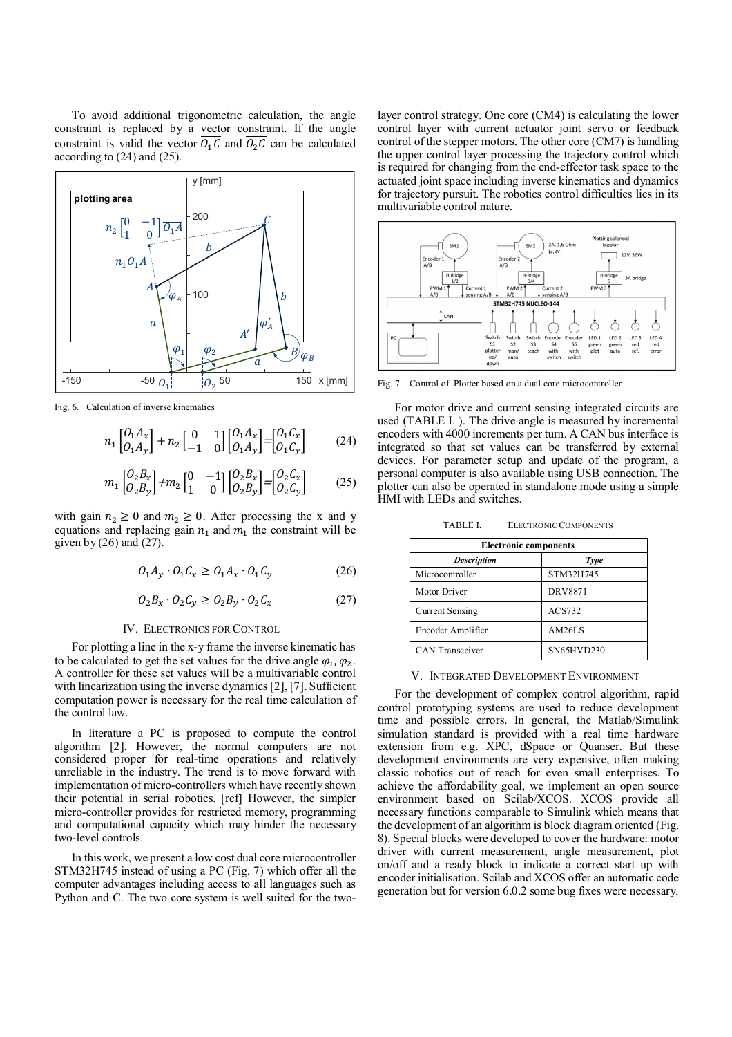To avoid additional trigonometric calculation, the angle constraint is replaced by a vector constraint. If the angle constraint is valid the vector  $O_1C$  and  $O_2C$  can be calculated according to (24) and (25).



Fig. 6. Calculation of inverse kinematics

$$
n_1 \begin{bmatrix} 0_1 A_x \\ 0_1 A_y \end{bmatrix} + n_2 \begin{bmatrix} 0 & 1 \\ -1 & 0 \end{bmatrix} \begin{bmatrix} 0_1 A_x \\ 0_1 A_y \end{bmatrix} = \begin{bmatrix} 0_1 C_x \\ 0_1 C_y \end{bmatrix}
$$
 (24)

$$
m_1 \begin{bmatrix} O_2 B_x \\ O_2 B_y \end{bmatrix} + m_2 \begin{bmatrix} 0 & -1 \\ 1 & 0 \end{bmatrix} \begin{bmatrix} O_2 B_x \\ O_2 B_y \end{bmatrix} = \begin{bmatrix} O_2 C_x \\ O_2 C_y \end{bmatrix}
$$
 (25)

with gain  $n_2 \ge 0$  and  $m_2 \ge 0$ . After processing the x and y equations and replacing gain  $n_1$  and  $m_1$  the constraint will be given by  $(26)$  and  $(27)$ .

$$
O_1 A_y \cdot O_1 C_x \ge O_1 A_x \cdot O_1 C_y \tag{26}
$$

$$
O_2 B_x \cdot O_2 C_y \ge O_2 B_y \cdot O_2 C_x \tag{27}
$$

#### IV. ELECTRONICS FOR CONTROL

For plotting a line in the x-y frame the inverse kinematic has to be calculated to get the set values for the drive angle  $\varphi_1, \varphi_2$ . A controller for these set values will be a multivariable control with linearization using the inverse dynamics [2], [7]. Sufficient computation power is necessary for the real time calculation of the control law.

In literature a PC is proposed to compute the control algorithm [2]. However, the normal computers are not considered proper for real-time operations and relatively unreliable in the industry. The trend is to move forward with implementation of micro-controllers which have recently shown their potential in serial robotics. [ref] However, the simpler micro-controller provides for restricted memory, programming and computational capacity which may hinder the necessary two-level controls.

In this work, we present a low cost dual core microcontroller STM32H745 instead of using a PC (Fig. 7) which offer all the computer advantages including access to all languages such as Python and C. The two core system is well suited for the twolayer control strategy. One core (CM4) is calculating the lower control layer with current actuator joint servo or feedback control of the stepper motors. The other core (CM7) is handling the upper control layer processing the trajectory control which is required for changing from the end-effector task space to the actuated joint space including inverse kinematics and dynamics for trajectory pursuit. The robotics control difficulties lies in its multivariable control nature.



Fig. 7. Control of Plotter based on a dual core microcontroller

For motor drive and current sensing integrated circuits are used (TABLE I. ). The drive angle is measured by incremental encoders with 4000 increments per turn. A CAN bus interface is integrated so that set values can be transferred by external devices. For parameter setup and update of the program, a personal computer is also available using USB connection. The plotter can also be operated in standalone mode using a simple HMI with LEDs and switches.

TABLE I. ELECTRONIC COMPONENTS

| <b>Electronic components</b> |                   |  |  |  |
|------------------------------|-------------------|--|--|--|
| <b>Description</b>           | <b>Type</b>       |  |  |  |
| Microcontroller              | STM32H745         |  |  |  |
| Motor Driver                 | <b>DRV8871</b>    |  |  |  |
| <b>Current Sensing</b>       | ACS732            |  |  |  |
| Encoder Amplifier            | AM26LS            |  |  |  |
| <b>CAN</b> Transceiver       | <b>SN65HVD230</b> |  |  |  |

#### V. INTEGRATED DEVELOPMENT ENVIRONMENT

For the development of complex control algorithm, rapid control prototyping systems are used to reduce development time and possible errors. In general, the Matlab/Simulink simulation standard is provided with a real time hardware extension from e.g. XPC, dSpace or Quanser. But these development environments are very expensive, often making classic robotics out of reach for even small enterprises. To achieve the affordability goal, we implement an open source environment based on Scilab/XCOS. XCOS provide all necessary functions comparable to Simulink which means that the development of an algorithm is block diagram oriented (Fig. 8). Special blocks were developed to cover the hardware: motor driver with current measurement, angle measurement, plot on/off and a ready block to indicate a correct start up with encoder initialisation. Scilab and XCOS offer an automatic code generation but for version 6.0.2 some bug fixes were necessary.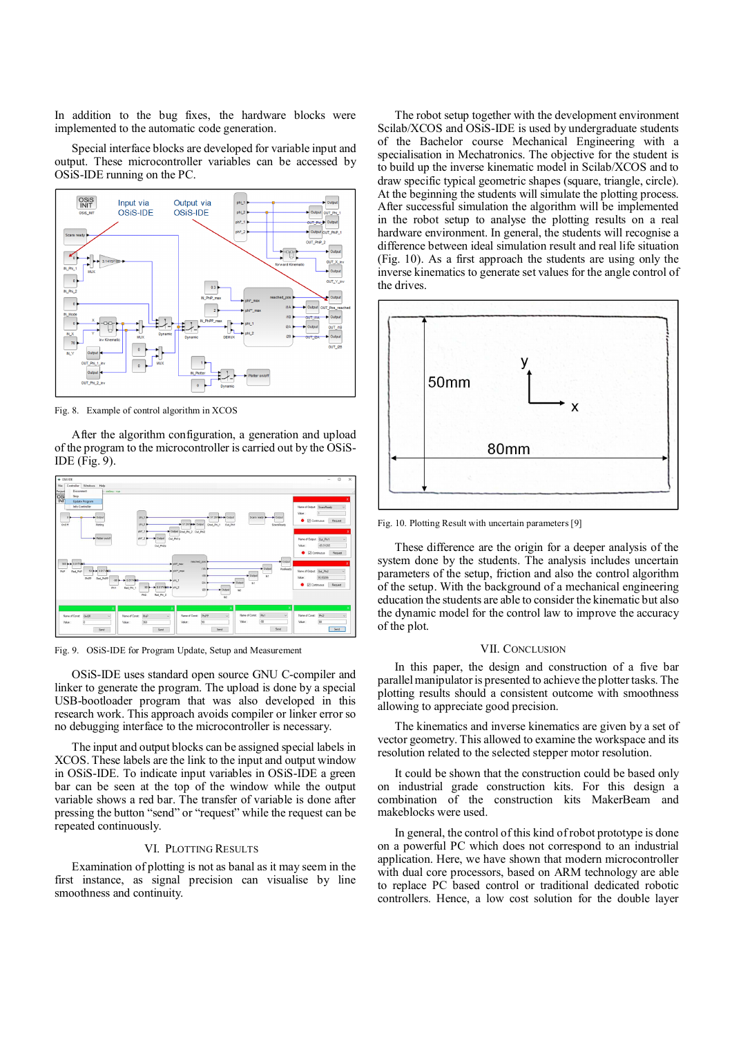In addition to the bug fixes, the hardware blocks were implemented to the automatic code generation.

Special interface blocks are developed for variable input and output. These microcontroller variables can be accessed by OSiS-IDE running on the PC.



Fig. 8. Example of control algorithm in XCOS

After the algorithm configuration, a generation and upload of the program to the microcontroller is carried out by the OSiS-IDE (Fig. 9).



Fig. 9. OSiS-IDE for Program Update, Setup and Measurement

OSiS-IDE uses standard open source GNU C-compiler and linker to generate the program. The upload is done by a special USB-bootloader program that was also developed in this research work. This approach avoids compiler or linker error so no debugging interface to the microcontroller is necessary.

The input and output blocks can be assigned special labels in XCOS. These labels are the link to the input and output window in OSiS-IDE. To indicate input variables in OSiS-IDE a green bar can be seen at the top of the window while the output variable shows a red bar. The transfer of variable is done after pressing the button "send" or "request" while the request can be repeated continuously.

#### VI. PLOTTING RESULTS

Examination of plotting is not as banal as it may seem in the first instance, as signal precision can visualise by line smoothness and continuity.

The robot setup together with the development environment Scilab/XCOS and OSiS-IDE is used by undergraduate students of the Bachelor course Mechanical Engineering with a specialisation in Mechatronics. The objective for the student is to build up the inverse kinematic model in Scilab/XCOS and to draw specific typical geometric shapes (square, triangle, circle). At the beginning the students will simulate the plotting process. After successful simulation the algorithm will be implemented in the robot setup to analyse the plotting results on a real hardware environment. In general, the students will recognise a difference between ideal simulation result and real life situation (Fig. 10). As a first approach the students are using only the inverse kinematics to generate set values for the angle control of the drives.



Fig. 10. Plotting Result with uncertain parameters [9]

These difference are the origin for a deeper analysis of the system done by the students. The analysis includes uncertain parameters of the setup, friction and also the control algorithm of the setup. With the background of a mechanical engineering education the students are able to consider the kinematic but also the dynamic model for the control law to improve the accuracy of the plot.

#### VII. CONCLUSION

In this paper, the design and construction of a five bar parallel manipulator is presented to achieve the plotter tasks. The plotting results should a consistent outcome with smoothness allowing to appreciate good precision.

The kinematics and inverse kinematics are given by a set of vector geometry. This allowed to examine the workspace and its resolution related to the selected stepper motor resolution.

It could be shown that the construction could be based only on industrial grade construction kits. For this design a combination of the construction kits MakerBeam and makeblocks were used.

In general, the control of this kind of robot prototype is done on a powerful PC which does not correspond to an industrial application. Here, we have shown that modern microcontroller with dual core processors, based on ARM technology are able to replace PC based control or traditional dedicated robotic controllers. Hence, a low cost solution for the double layer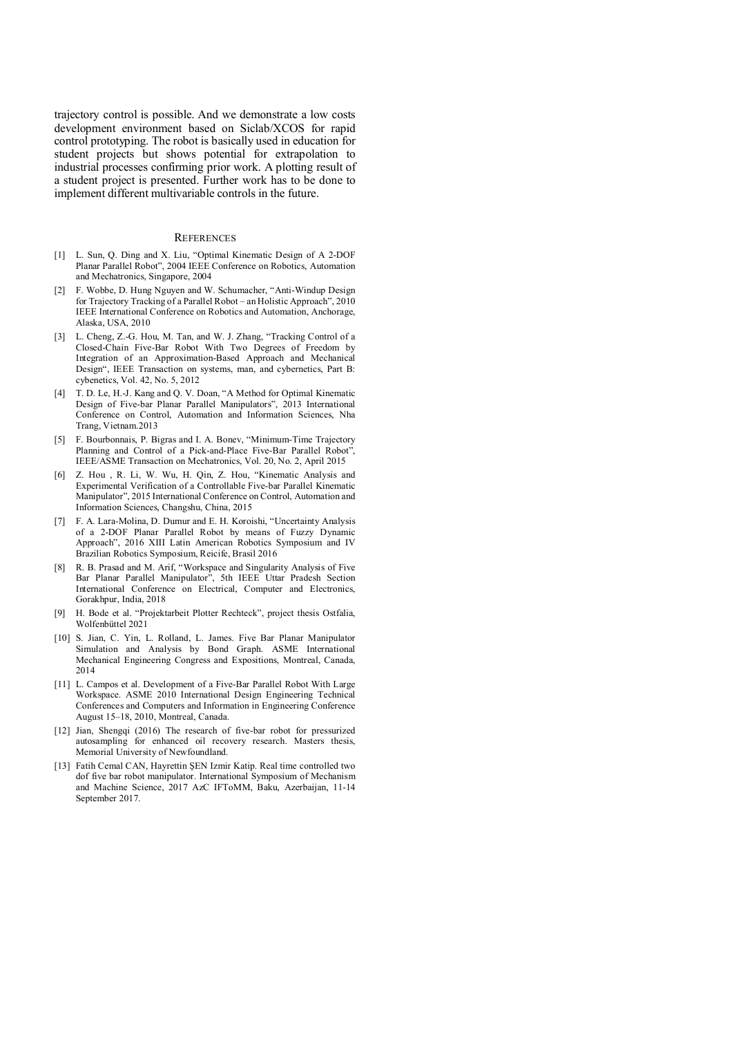trajectory control is possible. And we demonstrate a low costs development environment based on Siclab/XCOS for rapid control prototyping. The robot is basically used in education for student projects but shows potential for extrapolation to industrial processes confirming prior work. A plotting result of a student project is presented. Further work has to be done to implement different multivariable controls in the future.

#### **REFERENCES**

- [1] L. Sun, Q. Ding and X. Liu, "Optimal Kinematic Design of A 2-DOF Planar Parallel Robot", 2004 IEEE Conference on Robotics, Automation and Mechatronics, Singapore, 2004
- [2] F. Wobbe, D. Hung Nguyen and W. Schumacher, "Anti-Windup Design for Trajectory Tracking of a Parallel Robot – an Holistic Approach", 2010 IEEE International Conference on Robotics and Automation, Anchorage, Alaska, USA, 2010
- [3] L. Cheng, Z.-G. Hou, M. Tan, and W. J. Zhang, "Tracking Control of a Closed-Chain Five-Bar Robot With Two Degrees of Freedom by Integration of an Approximation-Based Approach and Mechanical Design", IEEE Transaction on systems, man, and cybernetics, Part B: cybenetics, Vol. 42, No. 5, 2012
- [4] T. D. Le, H.-J. Kang and Q. V. Doan, "A Method for Optimal Kinematic Design of Five-bar Planar Parallel Manipulators", 2013 International Conference on Control, Automation and Information Sciences, Nha Trang, Vietnam.2013
- [5] F. Bourbonnais, P. Bigras and I. A. Bonev, "Minimum-Time Trajectory Planning and Control of a Pick-and-Place Five-Bar Parallel Robot", IEEE/ASME Transaction on Mechatronics, Vol. 20, No. 2, April 2015
- [6] Z. Hou , R. Li, W. Wu, H. Qin, Z. Hou, "Kinematic Analysis and Experimental Verification of a Controllable Five-bar Parallel Kinematic Manipulator", 2015 International Conference on Control, Automation and Information Sciences, Changshu, China, 2015
- [7] F. A. Lara-Molina, D. Dumur and E. H. Koroishi, "Uncertainty Analysis of a 2-DOF Planar Parallel Robot by means of Fuzzy Dynamic Approach", 2016 XIII Latin American Robotics Symposium and IV Brazilian Robotics Symposium, Reicife, Brasil 2016
- [8] R. B. Prasad and M. Arif, "Workspace and Singularity Analysis of Five Bar Planar Parallel Manipulator", 5th IEEE Uttar Pradesh Section International Conference on Electrical, Computer and Electronics, Gorakhpur, India, 2018
- [9] H. Bode et al. "Projektarbeit Plotter Rechteck", project thesis Ostfalia, Wolfenbüttel 2021
- [10] S. Jian, C. Yin, L. Rolland, L. James. Five Bar Planar Manipulator Simulation and Analysis by Bond Graph. ASME International Mechanical Engineering Congress and Expositions, Montreal, Canada, 2014
- [11] L. Campos et al. Development of a Five-Bar Parallel Robot With Large Workspace. ASME 2010 International Design Engineering Technical Conferences and Computers and Information in Engineering Conference August 15–18, 2010, Montreal, Canada.
- [12] Jian, Shengqi (2016) The research of five-bar robot for pressurized autosampling for enhanced oil recovery research. Masters thesis, Memorial University of Newfoundland.
- [13] Fatih Cemal CAN, Hayrettin ŞEN Izmir Katip. Real time controlled two dof five bar robot manipulator. International Symposium of Mechanism and Machine Science, 2017 AzC IFToMM, Baku, Azerbaijan, 11-14 September 2017.